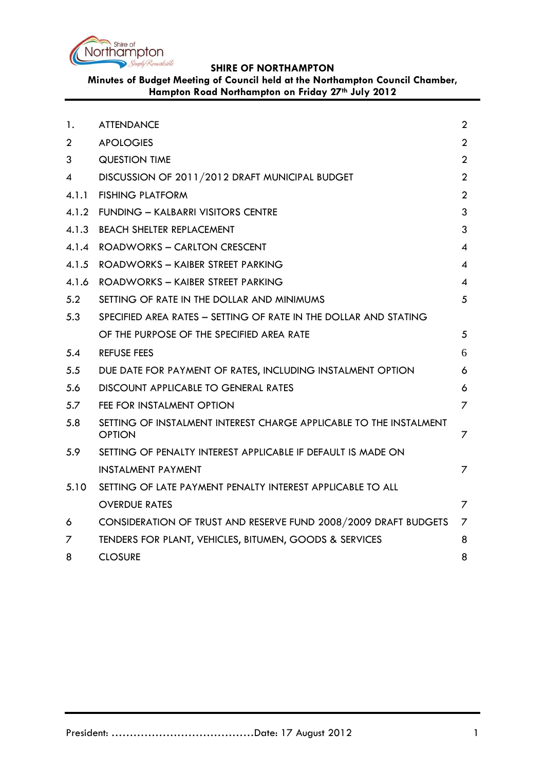

**Minutes of Budget Meeting of Council held at the Northampton Council Chamber, Hampton Road Northampton on Friday 27th July 2012**

| 1.             | <b>ATTENDANCE</b>                                                                   | $\overline{2}$ |
|----------------|-------------------------------------------------------------------------------------|----------------|
| $\overline{2}$ | <b>APOLOGIES</b>                                                                    | $\overline{2}$ |
| 3              | <b>QUESTION TIME</b>                                                                | $\overline{2}$ |
| 4              | DISCUSSION OF 2011/2012 DRAFT MUNICIPAL BUDGET                                      | $\overline{2}$ |
| 4.1.1          | <b>FISHING PLATFORM</b>                                                             | $\overline{2}$ |
| 4.1.2          | <b>FUNDING - KALBARRI VISITORS CENTRE</b>                                           | 3              |
|                | 4.1.3 BEACH SHELTER REPLACEMENT                                                     | 3              |
| 4.1.4          | ROADWORKS - CARLTON CRESCENT                                                        | $\overline{4}$ |
|                | 4.1.5 ROADWORKS - KAIBER STREET PARKING                                             | 4              |
| 4.1.6          | ROADWORKS - KAIBER STREET PARKING                                                   | $\overline{4}$ |
| 5.2            | SETTING OF RATE IN THE DOLLAR AND MINIMUMS                                          | 5              |
| 5.3            | SPECIFIED AREA RATES - SETTING OF RATE IN THE DOLLAR AND STATING                    |                |
|                | OF THE PURPOSE OF THE SPECIFIED AREA RATE                                           | 5              |
| 5.4            | <b>REFUSE FEES</b>                                                                  | 6              |
| 5.5            | DUE DATE FOR PAYMENT OF RATES, INCLUDING INSTALMENT OPTION                          | 6              |
| 5.6            | DISCOUNT APPLICABLE TO GENERAL RATES                                                | 6              |
| 5.7            | FEE FOR INSTALMENT OPTION                                                           | 7              |
| 5.8            | SETTING OF INSTALMENT INTEREST CHARGE APPLICABLE TO THE INSTALMENT<br><b>OPTION</b> | 7              |
| 5.9            | SETTING OF PENALTY INTEREST APPLICABLE IF DEFAULT IS MADE ON                        |                |
|                | <b>INSTALMENT PAYMENT</b>                                                           | 7              |
| 5.10           | SETTING OF LATE PAYMENT PENALTY INTEREST APPLICABLE TO ALL                          |                |
|                | <b>OVERDUE RATES</b>                                                                | 7              |
| 6              | CONSIDERATION OF TRUST AND RESERVE FUND 2008/2009 DRAFT BUDGETS                     | 7              |
| 7              | TENDERS FOR PLANT, VEHICLES, BITUMEN, GOODS & SERVICES                              | 8              |
| 8              | <b>CLOSURE</b>                                                                      | 8              |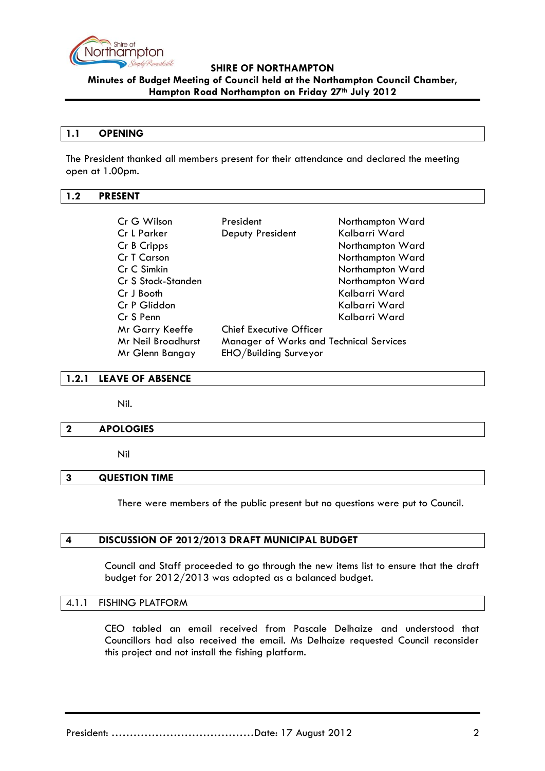

**Minutes of Budget Meeting of Council held at the Northampton Council Chamber, Hampton Road Northampton on Friday 27th July 2012**

### **1.1 OPENING**

The President thanked all members present for their attendance and declared the meeting open at 1.00pm.

### **1.2 PRESENT**

| Cr G Wilson                              | President                                      | Northampton Ward |  |  |
|------------------------------------------|------------------------------------------------|------------------|--|--|
| Cr L Parker                              | Deputy President                               | Kalbarri Ward    |  |  |
| Cr B Cripps                              |                                                | Northampton Ward |  |  |
| Cr T Carson                              |                                                | Northampton Ward |  |  |
| Cr C Simkin                              |                                                | Northampton Ward |  |  |
| Cr S Stock-Standen                       |                                                | Northampton Ward |  |  |
| Cr J Booth                               |                                                | Kalbarri Ward    |  |  |
| Cr P Gliddon                             |                                                | Kalbarri Ward    |  |  |
| Cr S Penn                                |                                                | Kalbarri Ward    |  |  |
| Mr Garry Keeffe                          | <b>Chief Executive Officer</b>                 |                  |  |  |
| Mr Neil Broadhurst                       | <b>Manager of Works and Technical Services</b> |                  |  |  |
| EHO/Building Surveyor<br>Mr Glenn Bangay |                                                |                  |  |  |

### **1.2.1 LEAVE OF ABSENCE**

Nil.

### **2 APOLOGIES**

Nil

## **3 QUESTION TIME**

There were members of the public present but no questions were put to Council.

## **4 DISCUSSION OF 2012/2013 DRAFT MUNICIPAL BUDGET**

Council and Staff proceeded to go through the new items list to ensure that the draft budget for 2012/2013 was adopted as a balanced budget.

### 4.1.1 FISHING PLATFORM

CEO tabled an email received from Pascale Delhaize and understood that Councillors had also received the email. Ms Delhaize requested Council reconsider this project and not install the fishing platform.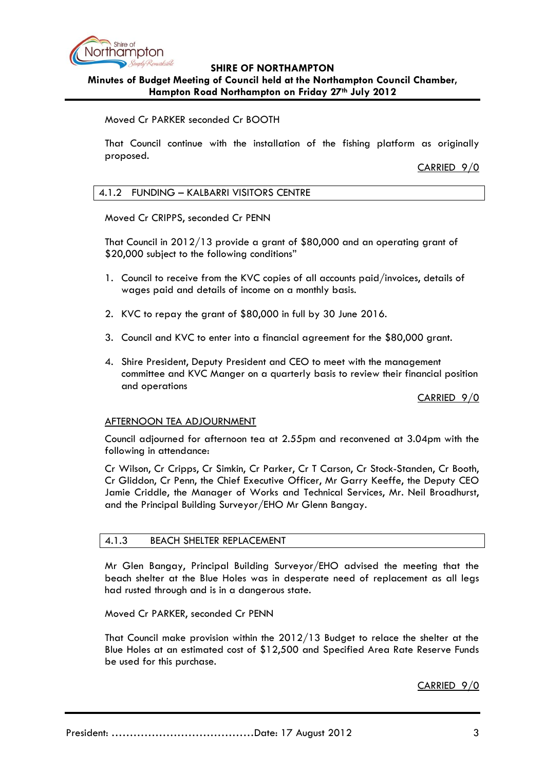

# **Minutes of Budget Meeting of Council held at the Northampton Council Chamber, Hampton Road Northampton on Friday 27th July 2012**

## Moved Cr PARKER seconded Cr BOOTH

That Council continue with the installation of the fishing platform as originally proposed.

CARRIED 9/0

## 4.1.2 FUNDING – KALBARRI VISITORS CENTRE

Moved Cr CRIPPS, seconded Cr PENN

That Council in 2012/13 provide a grant of \$80,000 and an operating grant of \$20,000 subject to the following conditions"

- 1. Council to receive from the KVC copies of all accounts paid/invoices, details of wages paid and details of income on a monthly basis.
- 2. KVC to repay the grant of \$80,000 in full by 30 June 2016.
- 3. Council and KVC to enter into a financial agreement for the \$80,000 grant.
- 4. Shire President, Deputy President and CEO to meet with the management committee and KVC Manger on a quarterly basis to review their financial position and operations

CARRIED 9/0

## AFTERNOON TEA ADJOURNMENT

Council adjourned for afternoon tea at 2.55pm and reconvened at 3.04pm with the following in attendance:

Cr Wilson, Cr Cripps, Cr Simkin, Cr Parker, Cr T Carson, Cr Stock-Standen, Cr Booth, Cr Gliddon, Cr Penn, the Chief Executive Officer, Mr Garry Keeffe, the Deputy CEO Jamie Criddle, the Manager of Works and Technical Services, Mr. Neil Broadhurst, and the Principal Building Surveyor/EHO Mr Glenn Bangay.

## 4.1.3 BEACH SHELTER REPLACEMENT

Mr Glen Bangay, Principal Building Surveyor/EHO advised the meeting that the beach shelter at the Blue Holes was in desperate need of replacement as all legs had rusted through and is in a dangerous state.

Moved Cr PARKER, seconded Cr PENN

That Council make provision within the 2012/13 Budget to relace the shelter at the Blue Holes at an estimated cost of \$12,500 and Specified Area Rate Reserve Funds be used for this purchase.

CARRIED 9/0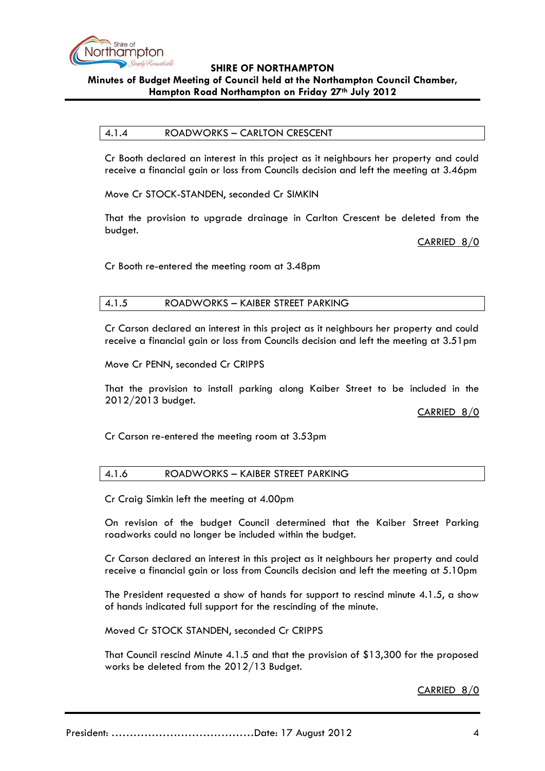

## **Minutes of Budget Meeting of Council held at the Northampton Council Chamber, Hampton Road Northampton on Friday 27th July 2012**

## 4.1.4 ROADWORKS – CARLTON CRESCENT

Cr Booth declared an interest in this project as it neighbours her property and could receive a financial gain or loss from Councils decision and left the meeting at 3.46pm

Move Cr STOCK-STANDEN, seconded Cr SIMKIN

That the provision to upgrade drainage in Carlton Crescent be deleted from the budget.

CARRIED 8/0

Cr Booth re-entered the meeting room at 3.48pm

# 4.1.5 ROADWORKS – KAIBER STREET PARKING

Cr Carson declared an interest in this project as it neighbours her property and could receive a financial gain or loss from Councils decision and left the meeting at 3.51pm

Move Cr PENN, seconded Cr CRIPPS

That the provision to install parking along Kaiber Street to be included in the 2012/2013 budget.

CARRIED 8/0

Cr Carson re-entered the meeting room at 3.53pm

## 4.1.6 ROADWORKS – KAIBER STREET PARKING

Cr Craig Simkin left the meeting at 4.00pm

On revision of the budget Council determined that the Kaiber Street Parking roadworks could no longer be included within the budget.

Cr Carson declared an interest in this project as it neighbours her property and could receive a financial gain or loss from Councils decision and left the meeting at 5.10pm

The President requested a show of hands for support to rescind minute 4.1.5, a show of hands indicated full support for the rescinding of the minute.

Moved Cr STOCK STANDEN, seconded Cr CRIPPS

That Council rescind Minute 4.1.5 and that the provision of \$13,300 for the proposed works be deleted from the 2012/13 Budget.

## CARRIED 8/0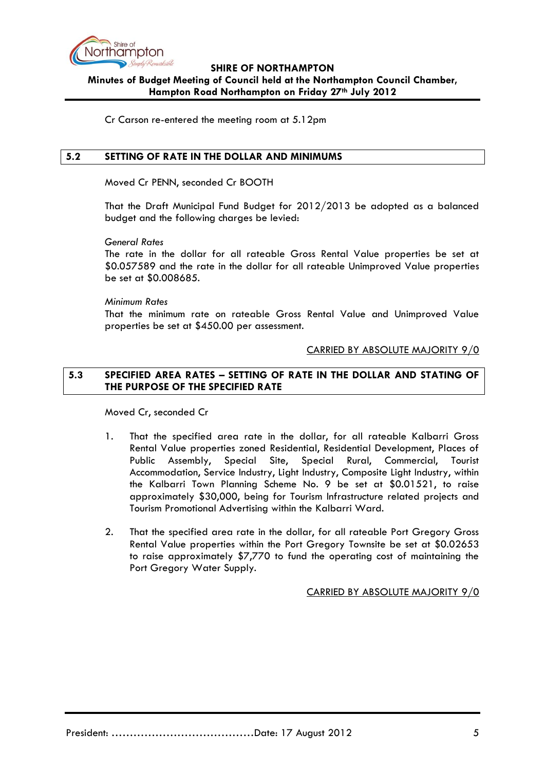

# **SHIRE OF NORTHAMPTON Minutes of Budget Meeting of Council held at the Northampton Council Chamber, Hampton Road Northampton on Friday 27th July 2012**

Cr Carson re-entered the meeting room at 5.12pm

## <span id="page-4-0"></span>**5.2 SETTING OF RATE IN THE DOLLAR AND MINIMUMS**

Moved Cr PENN, seconded Cr BOOTH

That the Draft Municipal Fund Budget for 2012/2013 be adopted as a balanced budget and the following charges be levied:

*General Rates*

The rate in the dollar for all rateable Gross Rental Value properties be set at \$0.057589 and the rate in the dollar for all rateable Unimproved Value properties be set at \$0.008685.

*Minimum Rates*

That the minimum rate on rateable Gross Rental Value and Unimproved Value properties be set at \$450.00 per assessment.

## CARRIED BY ABSOLUTE MAJORITY 9/0

# **5.3 SPECIFIED AREA RATES – SETTING OF RATE IN THE DOLLAR AND STATING OF THE PURPOSE OF THE SPECIFIED RATE**

Moved Cr, seconded Cr

- 1. That the specified area rate in the dollar, for all rateable Kalbarri Gross Rental Value properties zoned Residential, Residential Development, Places of Public Assembly, Special Site, Special Rural, Commercial, Tourist Accommodation, Service Industry, Light Industry, Composite Light Industry, within the Kalbarri Town Planning Scheme No. 9 be set at \$0.01521, to raise approximately \$30,000, being for Tourism Infrastructure related projects and Tourism Promotional Advertising within the Kalbarri Ward.
- 2. That the specified area rate in the dollar, for all rateable Port Gregory Gross Rental Value properties within the Port Gregory Townsite be set at \$0.02653 to raise approximately \$7,770 to fund the operating cost of maintaining the Port Gregory Water Supply.

CARRIED BY ABSOLUTE MAJORITY 9/0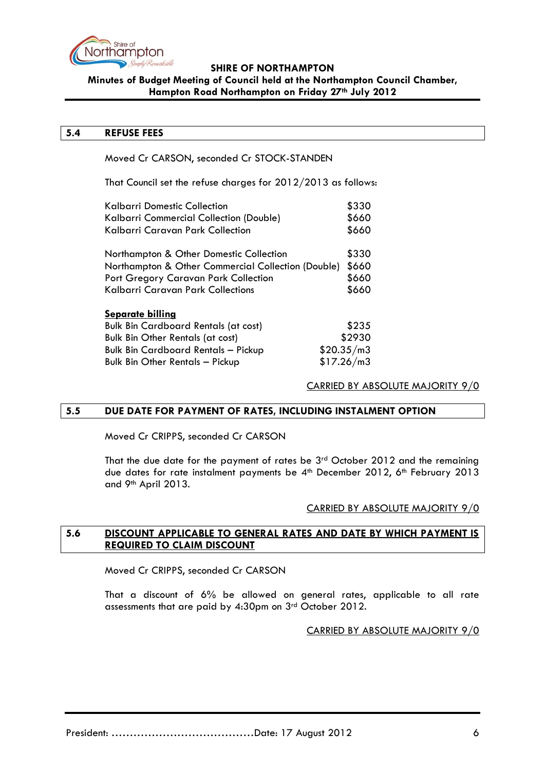

# **Minutes of Budget Meeting of Council held at the Northampton Council Chamber, Hampton Road Northampton on Friday 27th July 2012**

### **5.4 REFUSE FEES**

Moved Cr CARSON, seconded Cr STOCK-STANDEN

That Council set the refuse charges for 2012/2013 as follows:

| Kalbarri Domestic Collection                       | \$330      |  |
|----------------------------------------------------|------------|--|
| Kalbarri Commercial Collection (Double)            |            |  |
| Kalbarri Caravan Park Collection                   | \$660      |  |
| Northampton & Other Domestic Collection            | \$330      |  |
| Northampton & Other Commercial Collection (Double) |            |  |
| Port Gregory Caravan Park Collection               |            |  |
| Kalbarri Caravan Park Collections                  | \$660      |  |
| <b>Separate billing</b>                            |            |  |
| <b>Bulk Bin Cardboard Rentals (at cost)</b>        | \$235      |  |
| <b>Bulk Bin Other Rentals (at cost)</b>            | \$2930     |  |
| <b>Bulk Bin Cardboard Rentals - Pickup</b>         | \$20.35/m3 |  |
| <b>Bulk Bin Other Rentals - Pickup</b>             | \$17.26/m3 |  |

## CARRIED BY ABSOLUTE MAJORITY 9/0

## <span id="page-5-0"></span>**5.5 DUE DATE FOR PAYMENT OF RATES, INCLUDING INSTALMENT OPTION**

Moved Cr CRIPPS, seconded Cr CARSON

That the due date for the payment of rates be 3<sup>rd</sup> October 2012 and the remaining due dates for rate instalment payments be 4<sup>th</sup> December 2012, 6<sup>th</sup> February 2013 and 9th April 2013.

## CARRIED BY ABSOLUTE MAJORITY 9/0

## **5.6 DISCOUNT APPLICABLE TO GENERAL RATES AND DATE BY WHICH PAYMENT IS REQUIRED TO CLAIM DISCOUNT**

Moved Cr CRIPPS, seconded Cr CARSON

That a discount of 6% be allowed on general rates, applicable to all rate assessments that are paid by 4:30pm on 3rd October 2012.

## CARRIED BY ABSOLUTE MAJORITY 9/0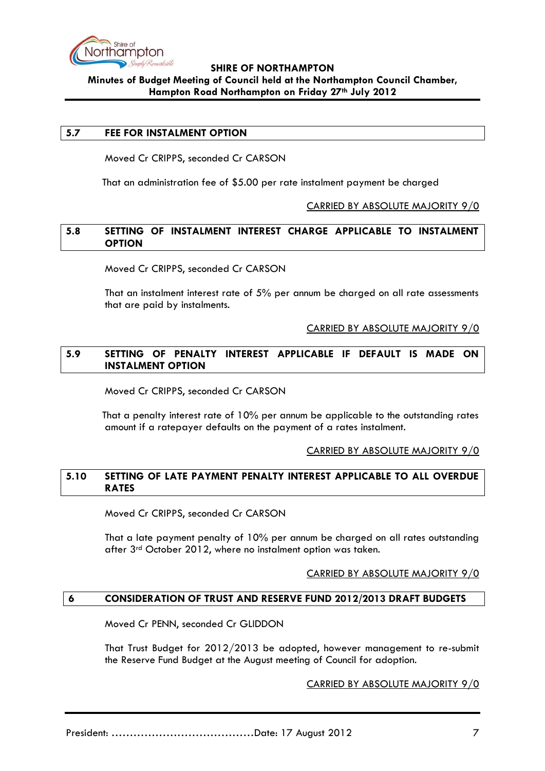

# **SHIRE OF NORTHAMPTON Minutes of Budget Meeting of Council held at the Northampton Council Chamber, Hampton Road Northampton on Friday 27th July 2012**

### **5.7 FEE FOR INSTALMENT OPTION**

Moved Cr CRIPPS, seconded Cr CARSON

That an administration fee of \$5.00 per rate instalment payment be charged

### CARRIED BY ABSOLUTE MAJORITY 9/0

## **5.8 SETTING OF INSTALMENT INTEREST CHARGE APPLICABLE TO INSTALMENT OPTION**

Moved Cr CRIPPS, seconded Cr CARSON

That an instalment interest rate of 5% per annum be charged on all rate assessments that are paid by instalments.

### CARRIED BY ABSOLUTE MAJORITY 9/0

## **5.9 SETTING OF PENALTY INTEREST APPLICABLE IF DEFAULT IS MADE ON INSTALMENT OPTION**

Moved Cr CRIPPS, seconded Cr CARSON

That a penalty interest rate of 10% per annum be applicable to the outstanding rates amount if a ratepayer defaults on the payment of a rates instalment.

### CARRIED BY ABSOLUTE MAJORITY 9/0

# **5.10 SETTING OF LATE PAYMENT PENALTY INTEREST APPLICABLE TO ALL OVERDUE RATES**

Moved Cr CRIPPS, seconded Cr CARSON

That a late payment penalty of 10% per annum be charged on all rates outstanding after 3<sup>rd</sup> October 2012, where no instalment option was taken.

## CARRIED BY ABSOLUTE MAJORITY 9/0

## <span id="page-6-0"></span>**6 CONSIDERATION OF TRUST AND RESERVE FUND 2012/2013 DRAFT BUDGETS**

Moved Cr PENN, seconded Cr GLIDDON

That Trust Budget for 2012/2013 be adopted, however management to re-submit the Reserve Fund Budget at the August meeting of Council for adoption.

### CARRIED BY ABSOLUTE MAJORITY 9/0